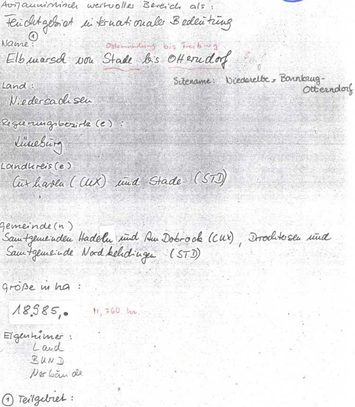Avilauminincer wertvolles Bereich als: ten dit gebiet in ternationale Bedeutring Name: same!<br>Elb marsch won Stade lais Otterndorf Sitename: Wiederelbe, Barnkrug. Land: Otterndorf Niedersachsen Reguerungsbositz (e) linesing Loindlereis (e) Cuthaven (CUX) und Stade (STD)

Gemeinde(n) Samtgemenden Hadeln und Am Dobrock (CUX), Drochtesen und

große in ha

 $18,585,$  $H, 760$  lax.

Eigenhimer: Land  $BUV$ Ner Louis de

1 Teilgebret: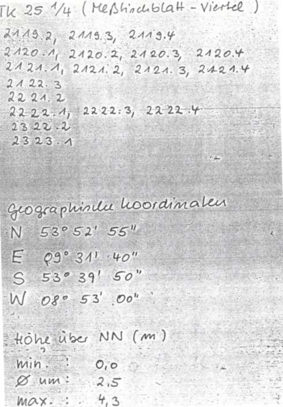$TK$  25  $1/4$  (Messhiralblatt - Viertel)

 $2119.2, 2119.3, 2119.4$ 

 $2120.4$  $2120.1$   $2120.2$ ,  $2120.3$  $2121.1$ ,  $2121.2$ ,  $2121.3$ ,  $24214$  $2122.3$ 

 $\mathbb{A}^n$  ,  $\mathbb{A}^n$  ,  $\mathbb{A}^n$  ,  $\mathbb{A}^n$  ,  $\mathbb{A}^n$  ,  $\mathbb{A}^n$ 

2221.2  $2222:3, 2222.4$  $222.1$  $2322.2$  $2323.1$ 

Geographinee hoordinalen  $53^{\circ}52'$  55"  $\mathbb{N}$  $E = 09°31'·40''$  $S$  53° 39' 50" W 08° 53' 00"

Hohe uber NN (m)  $Min.$  $O, O$  $\varnothing$  um:  $2,5$  $4,3$  $max:$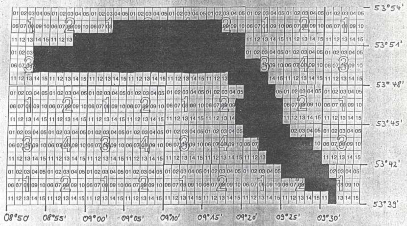| 06 07 08 09 10 06 07 08 09 10 06 07 08                                                             | 88 09 10 06 07 08 09 10 06 07 88 09 10 06 07 08 09 10 |    |
|----------------------------------------------------------------------------------------------------|-------------------------------------------------------|----|
| 11 12 13 14 15 11 12 13                                                                            | 11 12 13 14 15 11 12 13 14 15<br>2 13 14 15           |    |
| 010203                                                                                             | 01 02 03 04 05 01 02 03 04 05 01 02 03 04 05          |    |
| 06 07 09                                                                                           | 08/09 10 06 07 08 09 10 06 07 08/09 10                |    |
|                                                                                                    | 14 15 11 12 13 14 15 11 12 13 14 15                   |    |
| 01 02 03 04 05 01 02 03 04 05 01 02 03 04 05 01 02 03 04 05 01 02 03 04 05 01 02 03 04 05          | 05010203040510102030405                               |    |
| 06 07 08 09 10 06 07 08 09 10 06 07 08 09 10 06 07 08 09 10 06 07 08 09 10 06 07 09 09             | 060709091010607080910                                 |    |
| 11 12 13 14 15 11 12 13 14 15 11 12 13 14 15 11 12 13 14 15 1                                      | 12 13 14 15<br>12 13 14<br>15<br>-11                  |    |
| 01 02 03 04 05 01 02 03 04 05 01 02 03 04 05 01 02 03 04 05 01 02 03 04 05 01 02 03 04 05          | 02 03 04 05 01 02 03 04 05                            |    |
| 10 06 07 08 09 10 06 07 08 09 10 06 07<br>06 07 08\09 10 06 07 08 09 10 06 07 08\09 10 06 07 08 09 | 10 06 07 09 09 10                                     |    |
| 11 12 13 14 15 11 12 13 14 15 11 12 13 14 15 11 12 13 14 15 17 17 18 17 18 17 18 1                 | 12 13 14                                              | 15 |
| 01 02 03 04 05 01 02 03 04 05 01 02 03 04 05 01 02 03 04 05 01 02 03 04 05 0                       | 02 03 04 05<br>020304050102030405                     |    |
| 06107108109110106107188109110106107108109110106107188109110106107                                  | 08 09 10<br>08091006070909100607080910060708          |    |
| 11 12<br>13 14<br>14 15 1<br>11 12 13 14 15 1<br>13/14/15/                                         | 13 14 15                                              |    |

 $-1.13$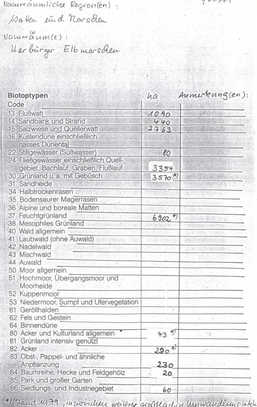Nouturraumliche Regionien):

Watter ind norsden

Naturaum(e): Harburger Elb marschen

| Biotoptypen                             | ha                   | Aumerkung(en): |
|-----------------------------------------|----------------------|----------------|
| Code                                    |                      |                |
| 13 Flußwatt                             | 1090                 | State College  |
| 14 Sandbank und Strand                  | 440                  |                |
| 15 Salzwiese und Quellerwatt            | 2763                 |                |
| 16 Küstendüne einschließlich            |                      |                |
| nasses Dünental                         |                      |                |
| 22 Stillgewässer (Süßwasser)            | 80                   |                |
| 24 Fließgewässer einschließlich Quell-  |                      |                |
| gebiet, Bachlauf, Graben, Flußlauf      | 3354                 |                |
| 30 Grünland u.a. mit Gebüsch            | $3570^{*7}$          |                |
| 31 Sandheide                            |                      |                |
| 34 Halbtrockenrasen                     |                      |                |
| 35 Bodensaurer Magerrasen               |                      |                |
| 36 Alpine und boreale Matten.           |                      |                |
| 37 Feuchtgrünland                       | $6902*)$             |                |
| 38 Mesophiles Grünland                  |                      |                |
| 40 Wald allgemein                       |                      |                |
| Laubwald (ohne Auwald)<br>41            |                      |                |
| 42 Nadelwald                            |                      |                |
| 43 Mischwald                            |                      |                |
| 44 Auwald                               |                      |                |
| 50 Moor allgemein                       |                      |                |
| Hochmoor, Ubergangsmoor und<br>51       |                      |                |
| Moorheide                               |                      |                |
| 52 Kuppenmoor                           |                      |                |
| 53 Niedermoor, Sumpf und Ufervegetation |                      |                |
| 61 Geröllhalden                         |                      |                |
| 62 Fels und Gestein                     |                      |                |
| 64 Binnendüne                           |                      |                |
| 80 Acker und Kulturland allgemein       | $43 \frac{2}{3}$     | t3             |
| Grünland intensiv genutzt<br>81         |                      |                |
| 82 Acker                                | $\mathcal{H}$<br>290 |                |
| 83 Obst-, Pappel- und ähnliche          |                      |                |
| Anpflanzung                             | 230                  |                |
| 84 Baumreihe, Hecke und Feldgehölz      | 20.                  |                |
| 85 Park und großer Garten               |                      |                |
| 86 Siedlungs- und Industriegebiet       | 60                   |                |

 $V V V V$ 

\*) Stand 1979, invoisible weilerer großklächen Unnwändlung intel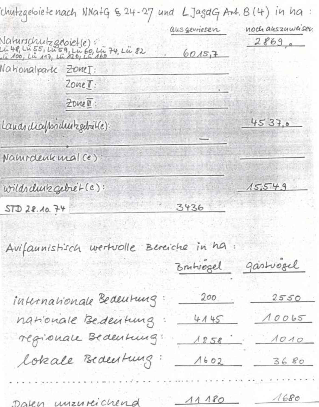|                        |                                                                                                        |             | 'chufzgeloiefe nach NNafG & 24-27 und LJagdG Ant. B (4) in ha : |
|------------------------|--------------------------------------------------------------------------------------------------------|-------------|-----------------------------------------------------------------|
|                        |                                                                                                        | ausgewiesen | noch auszuweiser.                                               |
|                        | Naturschutz geloiet (e):<br>Lü 48, Lü 55, Lü 59, Lü 60, Lü 74, Lü 82<br>Lü 100, Lü 117, Lü 126, Lü 169 | 6015,7      | 2869e                                                           |
| Nationalpark ZoneI:    |                                                                                                        |             |                                                                 |
|                        | $20meI$ :                                                                                              |             |                                                                 |
|                        | Zone !                                                                                                 |             |                                                                 |
|                        | Lands diafrondust gebrit(e):                                                                           |             | 4537,0                                                          |
| Naturdenk mal (e)      |                                                                                                        |             |                                                                 |
| wildrehunz gebret (e): |                                                                                                        |             | 15549                                                           |
| STD 28.10.74           |                                                                                                        | 3436        |                                                                 |
|                        |                                                                                                        |             |                                                                 |
|                        |                                                                                                        |             |                                                                 |
| Avifaunistisch         | wertvolle Bereiche in ha                                                                               | Brutvogel   | gastrogel                                                       |
|                        |                                                                                                        | 200         | 2550                                                            |
|                        | internationale Bedeutung                                                                               | 4145        | 10065                                                           |
|                        | nationale Bedentung                                                                                    | 1858        | 1010                                                            |
|                        | regionale Bedentung:<br>lokale Bedentung:                                                              | 1602        | 3680                                                            |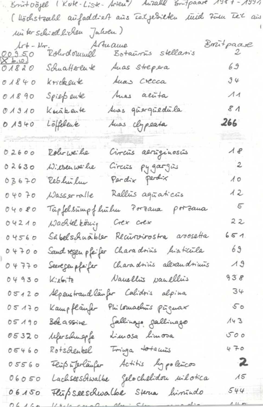|                              | Brut Oöjel (Kote-Liste-Arten") Auzahl Empaare 1987-1991  |                  |
|------------------------------|----------------------------------------------------------|------------------|
|                              | ( Höchstzald aufaddie A aus Eeljedikku tuid Zum Teil aus |                  |
|                              | un ter schied lichen Jahren)                             |                  |
|                              | Art-No. Artuame<br>250 Roberdoumel Botainis stellaris    | Boutpaase        |
| $00350$<br>$0030$<br>$00880$ | Auas Strepera<br>Schuatterente                           | 69               |
| $01840$                      | Luas Crecca<br>krickeuk                                  | 34               |
| 01890                        | Auss aluta<br>Spiep eute                                 | $\Lambda$ 1      |
| 01310                        | Auas güergüedüla<br>Knäkente                             | 81               |
| 0, 19, 40                    | Auas clypeata<br>Löffelene                               | 266              |
|                              |                                                          |                  |
| 02600                        | Circuis aeriginosus<br>Rober we he                       | $\sqrt{6}$       |
| 02630                        | Circuis pygargus<br>Wilsen we he                         | $\boldsymbol{2}$ |
| 03670                        | Pardix Perdix<br>Reshirla                                | $\Lambda$ 0      |
| 04070                        | Rallūs agūaticūs<br>$\mu$ asser $\tau$ alle              | 12               |
| $04080$                      | Tüpfelsümpfluchen Porzana porzana                        | $\sqrt{2}$       |
| 04210                        | Wachtel könig<br>Crex crex                               | 22               |
| 04560                        | Recurvirostra avosetta<br>Sábelschuabler                 | 651              |
| 04700                        | Charadrius finaticula<br>Sand regen ple fer              | 69               |
| 04770                        | Charadtius alexandtimes<br>Seeregen pfoifer              | $\Lambda$ 9      |
| 04930                        | Nauellis paullis<br>11.16772                             | 938              |
| 05120                        | Alpenstrandlanfor Calidris alpina                        | 34               |
| 05170                        | Philomachuis piignax<br>Kampflänfer                      | 50               |
| 05190                        | Jallings gallinago<br>Bee assine                         | 143              |
| 05320                        | beforschuepfe dimosa bimosa                              | 500              |
| 05460                        | Rotsdenkel Tringa totamis                                | 470              |
| 05560                        | Actitis lypolencos<br>Flüß üferläufer                    | $\mathbf{z}$     |
| 06050                        | Lachseeschwalbe gelochelidou uilotica                    | 15               |
| 06150                        | Fleipseeschwalbe Sterna himindo                          | 544              |
|                              | <u>in commandia</u>                                      | 11m              |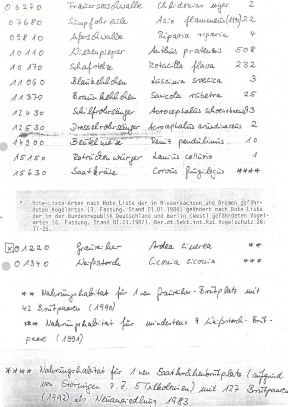| 96270                 | Trañerseeschwalle | Chlidorias ungar<br>2                         |
|-----------------------|-------------------|-----------------------------------------------|
| 07680                 | Sumpfolio enle    | Asio flamments (1990) 22                      |
| 09810                 | lifers divalle    | $\varphi$<br>Ripania ripania                  |
| 10110                 | Dieseupieper      | 508<br>Authins pratents                       |
| 10170                 | Schafstelze       | 232<br>Rotacilla flava                        |
| $\Lambda \Lambda$ 060 | Blaukell chen     | $\overline{\mathcal{Z}}$<br>Luscinia svecica  |
| 11370                 | Borain kehl chen  | 2S<br>Sarcola rubetra                         |
| 12430                 | Schilfrohrsäußer  | Acrocephalus schoenobaenis93                  |
| 12530                 | Drosselrohrsäuper | $\mathcal{Z}$<br>Acrocephalits articulinaceus |
| 14300                 | Beutel we'd       | 10<br>Remiz penduilimus                       |
| 15150                 | Rotrücken würger  | $\overline{A}$<br>Lauris collisio             |
| 15630                 | $Saa+keraile$     | ****<br>Corvus frugilegus                     |

Rote-Liste-Arten nach Rote Liste der in Niedersachsen und Bremen gefährdeten Vogelarten (3. Fassung, Stand 01.01.1984) geändert nach Rote Liste der in der Bundesrepublik Deutschland und Berlin (West) gefährdeten Vogelarten (6. Fassung, Stand 01.01.1987). Ber.dt.Sekt.int.Rat Vogelschutz 26:  $17 - 26.$ 

| X01220 | grante: her | Ardea Guerea    | * * |
|--------|-------------|-----------------|-----|
| 0.1340 | DapStorch   | Georgia Georgia | *** |

\*\* Naleningshabitat für 1 neu frankeiler- 3 mit plate mit 42 Brutpaaren (1990) unividenteus 9 Weifsstands- Bout-\*\*\* Nationin phatritat für peare (1991)

\*\*\*\* Nalmingshabitat für 1 neu Saatkrähenbontplats laufgründ Non Störnigen 7.2. 5 Telleolonieu) mit 127 Britpaaren (1992) als Neuaus-edlung 1983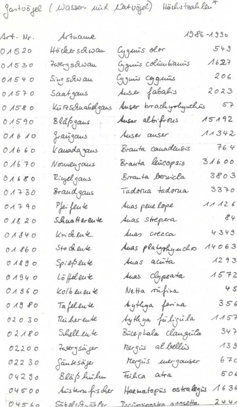Jantvöjel (Wasser- mind Matvöjel) Höchstzahlen

| $\mathcal{A}$ of $\cdot$ $N_{\mathcal{F}}$ . | Arthame            |                        | $1986 - 1990$          |
|----------------------------------------------|--------------------|------------------------|------------------------|
| 01520                                        | Höckerschwau       | Cygenis olor           | 543                    |
| 01530                                        | Zwergschwau        | Gguis columbianos      | 1627                   |
| 01540                                        | Sing solwau        | lyguis Corgunis        | 206                    |
| 01570                                        | Saatgaus           | Auser fabalis          | 2023                   |
| 0 158 0                                      | kū Fe Schnabelgans | Auser brachyrhywchis   | 57                     |
| 01590                                        | Blap gaus          | Auser albifrous        | 15192                  |
| 01610                                        | graugaus           | Auser auser            | 11342                  |
| 01660                                        | k auada gaus       | Branta canadensis      | 764                    |
| 01670                                        | Nouvençans         | Brauta leŭcopsis       | 31600                  |
| 01680                                        | R:ujel gaus        | Branta bervicla        | $3803$                 |
| 01730                                        | Braud gaus         | Tadonia tadonia        | 3370                   |
| 01790                                        | Pfeifeute          | Auas peue lope         | A A A 26               |
| 01820                                        | Shuatterente       | Auas Strepera          | 84                     |
| 01840                                        | Krickluk           | Suas creeca            | 4349                   |
| 01860                                        | Sto de eute        | Auas platyphymchos     | 14063                  |
| 01890                                        | Spießeute          | Auas acuta             | 1293                   |
| 01940                                        | Löffelent          | Auas Olypeata          | 1572                   |
| 01860                                        | Kolbeneu te        | Netta rufina           | 4 S                    |
| 01980                                        | Tafelente          | sytlya ferina          | 356                    |
| 02030                                        | Rei her eute       | tythya futiguda        | $\lambda$ $\Lambda$ 57 |
| 02180                                        | Schellente         | Būcephala Claugula     | 347                    |
| 02200                                        | Zavergsager        | Rengis al bellis       | A3S                    |
| 02230                                        | Sändesäje          | Mergus merganser       | 67c                    |
| 04290                                        | Bläß hutu          | trilica atra           | 506                    |
| 04500                                        | bistem fisher      | Haematopis ostralegis  | 1636                   |
| 04560                                        | Sabelschuch Per    | Pariominactes aposetta | 244                    |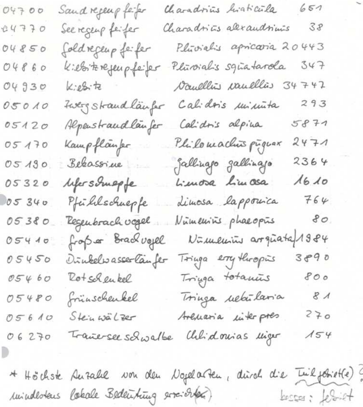Charadrius liaticula  $651$  $04700$ Sand refering forfer  $38$ Charadrias alexandrinas  $24770$ See regeup feifer Pluvialis apricaria 2 443 04850 foldregeup feifer 0  $347$ k:essitenefeupfeifer Plūvoialis sgūatarola  $04860$  $4742$ 04930 Daullin caullies 3 Kieste 293 05010 Zwerg Straud läufer Calidois *Minimita* 5871 Alpenstrandlanfer Calidris alpina 05120  $2471$ Plikomachis piguar Kampflanfer 05170 2364 gallings gallings Bekassine 05190 Luisa Limasa  $1610$ 05320 lifersomepfe  $764$ dimosa lapponica 05340 Pfüllschuepfe  $80$ 05380 Regenbrach vogel Nūmenins phaeopis Numerin arguata 1984  $05410$ fraga Brack voyel  $3890$ Tringa ery thropis 05450 Dúnkelwasser lân fer Tringa totamus 800  $05460$ Rotschenkel  $81$ 05480 frünschenkel Tringa uebūlaria  $270$ Arenaria interpres  $05610$ Stein walker 06270 Trane-see solwalbe Chlidonias uiger  $154$ 

\* Höchste Ausale von den Nogelacten, dürch die Tuilforiet(e)? inindestans labale Bedeuting erriorten) besser: lebriet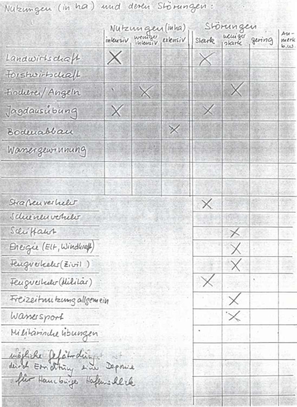Nutzungen (in ha) und deren Störungen:

|                                                     |   | Nutzungen (inha)         |          |          | Storungen          |                            |
|-----------------------------------------------------|---|--------------------------|----------|----------|--------------------|----------------------------|
|                                                     |   | intensiv wemper extensiv |          |          | stark plank gering | $Au -$<br>merk<br>، ئىن ما |
| Landwirtschaft                                      | X |                          |          |          |                    |                            |
| Forshvirhchall                                      |   |                          |          |          |                    |                            |
| Findurei/Angeln                                     |   | $\times$                 |          |          | $\times$           |                            |
| Jagdausubung                                        | X |                          |          | $\times$ |                    |                            |
| Bodenabban                                          |   |                          | $\times$ |          |                    |                            |
| Wanner gewinnung                                    |   |                          |          |          |                    |                            |
|                                                     |   |                          |          |          |                    |                            |
|                                                     |   |                          |          |          |                    |                            |
| Straßenverheld                                      |   |                          |          |          |                    |                            |
| Schienenvehilt                                      |   |                          |          |          |                    |                            |
| Schiffant                                           |   |                          |          |          | $\times$           |                            |
| Energie (ELF, Windbrall)                            |   |                          |          |          | $\times$           |                            |
| Feuguerheles (Zivil)                                |   |                          |          |          | X.                 |                            |
| Feugueshedo (Militar)                               |   |                          |          |          |                    |                            |
| Freizeituutzung allgemein                           |   |                          |          |          |                    |                            |
| Wanesport                                           |   |                          |          |          |                    |                            |
| Militarindue hibungen                               |   |                          |          |          |                    |                            |
|                                                     |   |                          |          |          |                    |                            |
|                                                     |   |                          |          |          |                    |                            |
| möthiche felchoding.<br>dirch Ernathing sin Deponie |   |                          |          |          |                    |                            |
|                                                     |   |                          |          |          |                    |                            |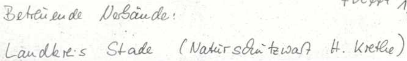